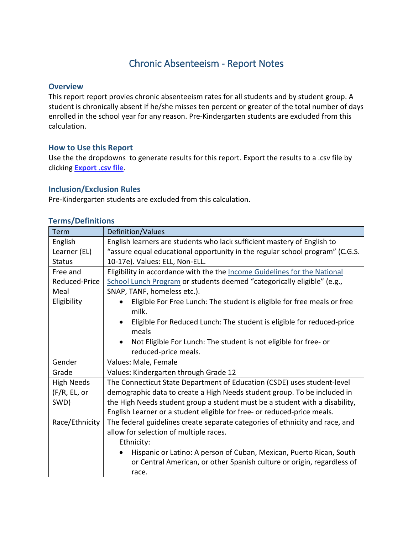# Chronic Absenteeism - Report Notes

#### **Overview**

This report report provies chronic absenteeism rates for all students and by student group. A student is chronically absent if he/she misses ten percent or greater of the total number of days enrolled in the school year for any reason. Pre-Kindergarten students are excluded from this calculation.

#### **How to Use this Report**

Use the the dropdowns to generate results for this report. Export the results to a .csv file by clicking **Export .csv file**.

### **Inclusion/Exclusion Rules**

Pre-Kindergarten students are excluded from this calculation.

| <b>Term</b>       | Definition/Values                                                                  |
|-------------------|------------------------------------------------------------------------------------|
| English           | English learners are students who lack sufficient mastery of English to            |
| Learner (EL)      | "assure equal educational opportunity in the regular school program" (C.G.S.       |
| <b>Status</b>     | 10-17e). Values: ELL, Non-ELL.                                                     |
| Free and          | Eligibility in accordance with the the Income Guidelines for the National          |
| Reduced-Price     | School Lunch Program or students deemed "categorically eligible" (e.g.,            |
| Meal              | SNAP, TANF, homeless etc.).                                                        |
| Eligibility       | Eligible For Free Lunch: The student is eligible for free meals or free            |
|                   | milk.                                                                              |
|                   | Eligible For Reduced Lunch: The student is eligible for reduced-price<br>$\bullet$ |
|                   | meals                                                                              |
|                   | Not Eligible For Lunch: The student is not eligible for free- or<br>$\bullet$      |
|                   | reduced-price meals.                                                               |
| Gender            | Values: Male, Female                                                               |
| Grade             | Values: Kindergarten through Grade 12                                              |
| <b>High Needs</b> | The Connecticut State Department of Education (CSDE) uses student-level            |
| (F/R, EL, or      | demographic data to create a High Needs student group. To be included in           |
| SWD)              | the High Needs student group a student must be a student with a disability,        |
|                   | English Learner or a student eligible for free- or reduced-price meals.            |
| Race/Ethnicity    | The federal guidelines create separate categories of ethnicity and race, and       |
|                   | allow for selection of multiple races.                                             |
|                   | Ethnicity:                                                                         |
|                   | Hispanic or Latino: A person of Cuban, Mexican, Puerto Rican, South                |
|                   | or Central American, or other Spanish culture or origin, regardless of             |
|                   | race.                                                                              |

#### **Terms/Definitions**